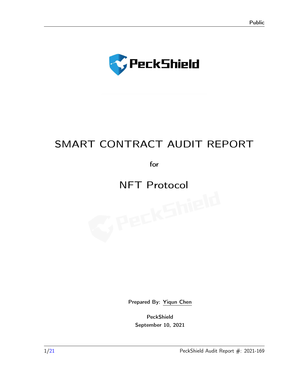

# SMART CONTRACT AUDIT REPORT

for

# NFT Protocol<br>
Separate Separate Separate Separate Separate Separate Separate Separate Separate Separate Separate Separate S<br>
Separate Separate Separate Separate Separate Separate Separate Separate Separate Separate Separat

Prepared By: [Yiqun Chen](sxwang@peckshield.com)

PeckShield September 10, 2021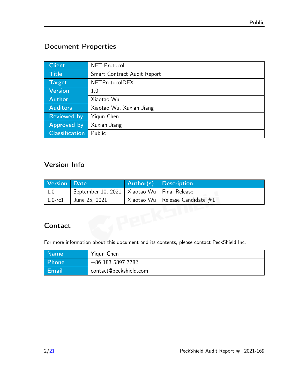# Document Properties

| <b>Client</b>         | NFT Protocol                |
|-----------------------|-----------------------------|
| <b>Title</b>          | Smart Contract Audit Report |
| Target                | <b>NFTProtocolDEX</b>       |
| <b>Version</b>        | 1.0                         |
| <b>Author</b>         | Xiaotao Wu                  |
| <b>Auditors</b>       | Xiaotao Wu, Xuxian Jiang    |
| <b>Reviewed by</b>    | Yigun Chen                  |
| <b>Approved by</b>    | Xuxian Jiang                |
| <b>Classification</b> | Public                      |

# Version Info

| <b>Version</b> | <b>Date</b>        | Author(s)  | <b>Description</b>                  |
|----------------|--------------------|------------|-------------------------------------|
| 1.0            | September 10, 2021 | Xiaotao Wu | <b>Final Release</b>                |
| $1.0$ - $r c1$ | June 25, 2021      |            | Xiaotao Wu   Release Candidate $#1$ |
|                |                    |            |                                     |
|                |                    |            |                                     |
| Contact        |                    |            |                                     |

# **Contact**

For more information about this document and its contents, please contact PeckShield Inc.

| <b>Name</b> | Yigun Chen             |
|-------------|------------------------|
| Phone       | +86 183 5897 7782      |
| Email       | contact@peckshield.com |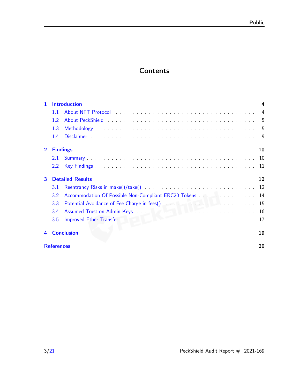# **Contents**

| $\mathbf{1}$   | <b>Introduction</b><br>4 |                                                          |                |
|----------------|--------------------------|----------------------------------------------------------|----------------|
|                | 1.1                      |                                                          | $\overline{4}$ |
|                | 1.2                      |                                                          |                |
|                | 1.3                      |                                                          |                |
|                | 1.4                      |                                                          | -9             |
| $\overline{2}$ |                          | <b>Findings</b>                                          | 10             |
|                | 2.1                      |                                                          |                |
|                | 2.2                      |                                                          |                |
| 3              |                          | <b>Detailed Results</b>                                  | 12             |
|                | 3.1                      |                                                          |                |
|                | 3.2                      | Accommodation Of Possible Non-Compliant ERC20 Tokens  14 |                |
|                | 3.3                      |                                                          |                |
|                | 3.4                      |                                                          |                |
|                | 3.5                      |                                                          |                |
| 4              |                          | <b>Conclusion</b>                                        | 19             |
|                | <b>References</b>        |                                                          | 20             |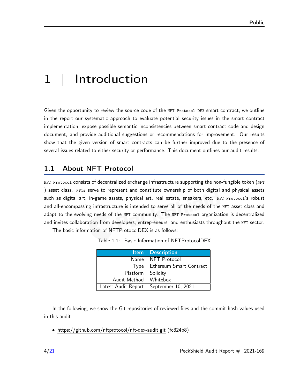# <span id="page-3-0"></span>1 | Introduction

Given the opportunity to review the source code of the NFT Protocol DEX smart contract, we outline in the report our systematic approach to evaluate potential security issues in the smart contract implementation, expose possible semantic inconsistencies between smart contract code and design document, and provide additional suggestions or recommendations for improvement. Our results show that the given version of smart contracts can be further improved due to the presence of several issues related to either security or performance. This document outlines our audit results.

## <span id="page-3-1"></span>1.1 About NFT Protocol

NFT Protocol consists of decentralized exchange infrastructure supporting the non-fungible token (NFT ) asset class. NFTs serve to represent and constitute ownership of both digital and physical assets such as digital art, in-game assets, physical art, real estate, sneakers, etc. NFT Protocol's robust and all-encompassing infrastructure is intended to serve all of the needs of the NFT asset class and adapt to the evolving needs of the NFT community. The NFT Protocol organization is decentralized and invites collaboration from developers, entrepreneurs, and enthusiasts throughout the NFT sector.

The basic information of NFTProtocolDEX is as follows:

|                     | <b>Item</b> Description |
|---------------------|-------------------------|
| Name                | <b>NFT Protocol</b>     |
| Type                | Ethereum Smart Contract |
| Platform            | Solidity                |
| Audit Method        | Whitebox                |
| Latest Audit Report | September 10, 2021      |

In the following, we show the Git repositories of reviewed files and the commit hash values used in this audit.

• https://github.com/nftprotocol/nft-dex-audit.git (fc824b8)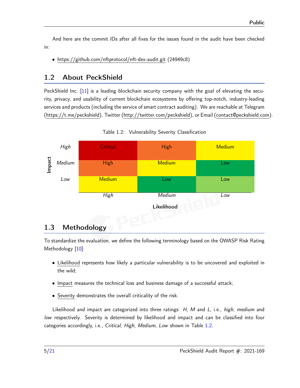And here are the commit IDs after all fixes for the issues found in the audit have been checked in:

• https://github.com/nftprotocol/nft-dex-audit.git (24949c8)

# <span id="page-4-0"></span>1.2 About PeckShield

PeckShield Inc. [\[11\]](#page-20-1) is a leading blockchain security company with the goal of elevating the security, privacy, and usability of current blockchain ecosystems by offering top-notch, industry-leading services and products (including the service of smart contract auditing). We are reachable at Telegram [\(https://t.me/peckshield\)](https://t.me/peckshield), Twitter [\(http://twitter.com/peckshield\)](http://twitter.com/peckshield), or Email [\(contact@peckshield.com\)](contact@peckshield.com).

<span id="page-4-2"></span>

Table 1.2: Vulnerability Severity Classification

# <span id="page-4-1"></span>1.3 Methodology

To standardize the evaluation, we define the following terminology based on the OWASP Risk Rating Methodology [\[10\]](#page-20-2):

- Likelihood represents how likely a particular vulnerability is to be uncovered and exploited in the wild;
- Impact measures the technical loss and business damage of a successful attack;
- Severity demonstrates the overall criticality of the risk.

Likelihood and impact are categorized into three ratings: H, M and L, i.e., high, medium and low respectively. Severity is determined by likelihood and impact and can be classified into four categories accordingly, i.e., Critical, High, Medium, Low shown in Table [1.2.](#page-4-2)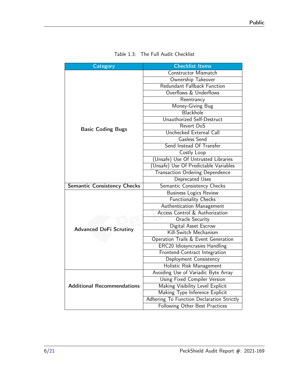<span id="page-5-0"></span>

| <b>Category</b>                    | <b>Checklist Items</b>                    |  |  |
|------------------------------------|-------------------------------------------|--|--|
|                                    | Constructor Mismatch                      |  |  |
|                                    | Ownership Takeover                        |  |  |
|                                    | Redundant Fallback Function               |  |  |
|                                    | Overflows & Underflows                    |  |  |
|                                    | Reentrancy                                |  |  |
|                                    | Money-Giving Bug                          |  |  |
|                                    | Blackhole                                 |  |  |
|                                    | Unauthorized Self-Destruct                |  |  |
| <b>Basic Coding Bugs</b>           | Revert DoS                                |  |  |
|                                    | Unchecked External Call                   |  |  |
|                                    | Gasless Send                              |  |  |
|                                    | Send Instead Of Transfer                  |  |  |
|                                    | Costly Loop                               |  |  |
|                                    | (Unsafe) Use Of Untrusted Libraries       |  |  |
|                                    | (Unsafe) Use Of Predictable Variables     |  |  |
|                                    | <b>Transaction Ordering Dependence</b>    |  |  |
|                                    | Deprecated Uses                           |  |  |
| <b>Semantic Consistency Checks</b> | Semantic Consistency Checks               |  |  |
|                                    | <b>Business Logics Review</b>             |  |  |
|                                    | <b>Functionality Checks</b>               |  |  |
|                                    | Authentication Management                 |  |  |
|                                    | <b>Access Control &amp; Authorization</b> |  |  |
|                                    | <b>Oracle Security</b>                    |  |  |
| <b>Advanced DeFi Scrutiny</b>      | Digital Asset Escrow                      |  |  |
|                                    | Kill-Switch Mechanism                     |  |  |
|                                    | Operation Trails & Event Generation       |  |  |
|                                    | <b>ERC20 Idiosyncrasies Handling</b>      |  |  |
|                                    | Frontend-Contract Integration             |  |  |
|                                    | Deployment Consistency                    |  |  |
|                                    | Holistic Risk Management                  |  |  |
|                                    | Avoiding Use of Variadic Byte Array       |  |  |
|                                    | Using Fixed Compiler Version              |  |  |
| <b>Additional Recommendations</b>  | Making Visibility Level Explicit          |  |  |
|                                    | Making Type Inference Explicit            |  |  |
|                                    | Adhering To Function Declaration Strictly |  |  |
|                                    | Following Other Best Practices            |  |  |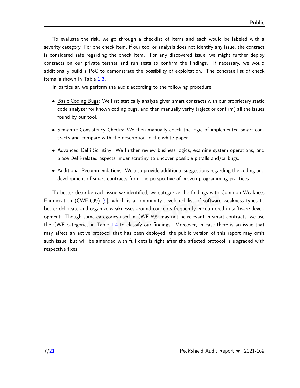To evaluate the risk, we go through a checklist of items and each would be labeled with a severity category. For one check item, if our tool or analysis does not identify any issue, the contract is considered safe regarding the check item. For any discovered issue, we might further deploy contracts on our private testnet and run tests to confirm the findings. If necessary, we would additionally build a PoC to demonstrate the possibility of exploitation. The concrete list of check items is shown in Table [1.3.](#page-5-0)

In particular, we perform the audit according to the following procedure:

- Basic Coding Bugs: We first statically analyze given smart contracts with our proprietary static code analyzer for known coding bugs, and then manually verify (reject or confirm) all the issues found by our tool.
- Semantic Consistency Checks: We then manually check the logic of implemented smart contracts and compare with the description in the white paper.
- Advanced DeFi Scrutiny: We further review business logics, examine system operations, and place DeFi-related aspects under scrutiny to uncover possible pitfalls and/or bugs.
- Additional Recommendations: We also provide additional suggestions regarding the coding and development of smart contracts from the perspective of proven programming practices.

To better describe each issue we identified, we categorize the findings with Common Weakness Enumeration (CWE-699) [\[9\]](#page-19-1), which is a community-developed list of software weakness types to better delineate and organize weaknesses around concepts frequently encountered in software development. Though some categories used in CWE-699 may not be relevant in smart contracts, we use the CWE categories in Table [1.4](#page-7-0) to classify our findings. Moreover, in case there is an issue that may affect an active protocol that has been deployed, the public version of this report may omit such issue, but will be amended with full details right after the affected protocol is upgraded with respective fixes.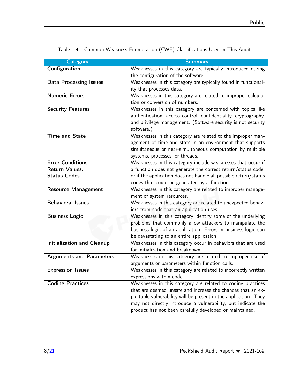| <b>Category</b>                   | <b>Summary</b>                                                                                           |
|-----------------------------------|----------------------------------------------------------------------------------------------------------|
| Configuration                     | Weaknesses in this category are typically introduced during                                              |
|                                   | the configuration of the software.                                                                       |
| <b>Data Processing Issues</b>     | Weaknesses in this category are typically found in functional-                                           |
|                                   | ity that processes data.                                                                                 |
| <b>Numeric Errors</b>             | Weaknesses in this category are related to improper calcula-                                             |
|                                   | tion or conversion of numbers.                                                                           |
| <b>Security Features</b>          | Weaknesses in this category are concerned with topics like                                               |
|                                   | authentication, access control, confidentiality, cryptography,                                           |
|                                   | and privilege management. (Software security is not security                                             |
|                                   | software.)                                                                                               |
| <b>Time and State</b>             | Weaknesses in this category are related to the improper man-                                             |
|                                   | agement of time and state in an environment that supports                                                |
|                                   | simultaneous or near-simultaneous computation by multiple                                                |
|                                   | systems, processes, or threads.                                                                          |
| Error Conditions,                 | Weaknesses in this category include weaknesses that occur if                                             |
| Return Values,                    | a function does not generate the correct return/status code,                                             |
| <b>Status Codes</b>               | or if the application does not handle all possible return/status                                         |
|                                   | codes that could be generated by a function.                                                             |
| <b>Resource Management</b>        | Weaknesses in this category are related to improper manage-                                              |
|                                   | ment of system resources.                                                                                |
| <b>Behavioral Issues</b>          | Weaknesses in this category are related to unexpected behav-                                             |
|                                   | iors from code that an application uses.                                                                 |
| <b>Business Logic</b>             | Weaknesses in this category identify some of the underlying                                              |
|                                   | problems that commonly allow attackers to manipulate the                                                 |
|                                   | business logic of an application. Errors in business logic can                                           |
| <b>Initialization and Cleanup</b> | be devastating to an entire application.<br>Weaknesses in this category occur in behaviors that are used |
|                                   | for initialization and breakdown.                                                                        |
| <b>Arguments and Parameters</b>   | Weaknesses in this category are related to improper use of                                               |
|                                   | arguments or parameters within function calls.                                                           |
| <b>Expression Issues</b>          | Weaknesses in this category are related to incorrectly written                                           |
|                                   | expressions within code.                                                                                 |
| <b>Coding Practices</b>           | Weaknesses in this category are related to coding practices                                              |
|                                   | that are deemed unsafe and increase the chances that an ex-                                              |
|                                   | ploitable vulnerability will be present in the application. They                                         |
|                                   | may not directly introduce a vulnerability, but indicate the                                             |
|                                   | product has not been carefully developed or maintained.                                                  |
|                                   |                                                                                                          |

<span id="page-7-0"></span>Table 1.4: Common Weakness Enumeration (CWE) Classifications Used in This Audit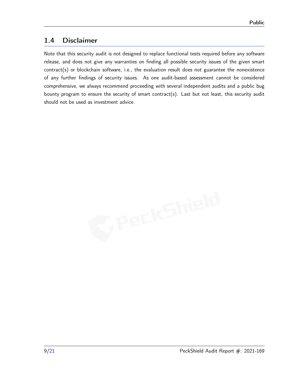## <span id="page-8-0"></span>1.4 Disclaimer

Note that this security audit is not designed to replace functional tests required before any software release, and does not give any warranties on finding all possible security issues of the given smart contract(s) or blockchain software, i.e., the evaluation result does not guarantee the nonexistence of any further findings of security issues. As one audit-based assessment cannot be considered comprehensive, we always recommend proceeding with several independent audits and a public bug bounty program to ensure the security of smart contract(s). Last but not least, this security audit should not be used as investment advice.

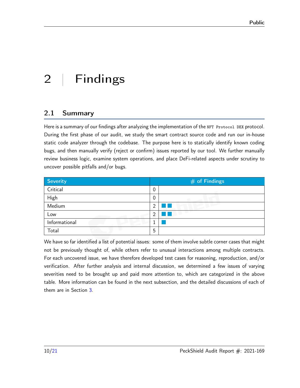# <span id="page-9-0"></span>2 | Findings

## <span id="page-9-1"></span>2.1 Summary

Here is a summary of our findings after analyzing the implementation of the NFT Protocol DEX protocol. During the first phase of our audit, we study the smart contract source code and run our in-house static code analyzer through the codebase. The purpose here is to statically identify known coding bugs, and then manually verify (reject or confirm) issues reported by our tool. We further manually review business logic, examine system operations, and place DeFi-related aspects under scrutiny to uncover possible pitfalls and/or bugs.

| Severity      |                | $#$ of Findings |
|---------------|----------------|-----------------|
| Critical      | 0              |                 |
| High          | 0              |                 |
| Medium        | $\overline{2}$ |                 |
| Low           | っ              |                 |
| Informational |                |                 |
| Total         | 5              |                 |

We have so far identified a list of potential issues: some of them involve subtle corner cases that might not be previously thought of, while others refer to unusual interactions among multiple contracts. For each uncovered issue, we have therefore developed test cases for reasoning, reproduction, and/or verification. After further analysis and internal discussion, we determined a few issues of varying severities need to be brought up and paid more attention to, which are categorized in the above table. More information can be found in the next subsection, and the detailed discussions of each of them are in Section [3.](#page-11-0)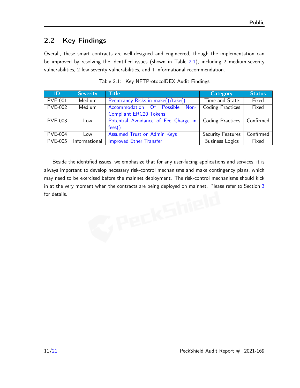## <span id="page-10-0"></span>2.2 Key Findings

Overall, these smart contracts are well-designed and engineered, though the implementation can be improved by resolving the identified issues (shown in Table [2.1\)](#page-10-1), including 2 medium-severity vulnerabilities, 2 low-severity vulnerabilities, and 1 informational recommendation.

<span id="page-10-1"></span>

| ID             | <b>Severity</b> | <b>Title</b>                         | <b>Category</b>         | Status                        |
|----------------|-----------------|--------------------------------------|-------------------------|-------------------------------|
| <b>PVE-001</b> | Medium          | Reentrancy Risks in make()/take()    | Time and State          | Fixed                         |
| <b>PVE-002</b> | Medium          | Accommodation<br>Of Possible<br>Non- | <b>Coding Practices</b> | Fixed                         |
|                |                 | <b>Compliant ERC20 Tokens</b>        |                         |                               |
| <b>PVE-003</b> | Low             | Potential Avoidance of Fee Charge in | <b>Coding Practices</b> | Confirmed                     |
|                |                 | fees()                               |                         |                               |
| <b>PVE-004</b> | Low             | <b>Assumed Trust on Admin Keys</b>   | Security Features       | $\overline{\text{Confirmed}}$ |
| <b>PVE-005</b> | Informational   | Improved Ether Transfer              | <b>Business Logics</b>  | Fixed                         |

Table 2.1: Key NFTProtocolDEX Audit Findings

Beside the identified issues, we emphasize that for any user-facing applications and services, it is always important to develop necessary risk-control mechanisms and make contingency plans, which may need to be exercised before the mainnet deployment. The risk-control mechanisms should kick in at the very moment when the contracts are being deployed on mainnet. Please refer to Section [3](#page-11-0)<br>for details.<br>For details. for details.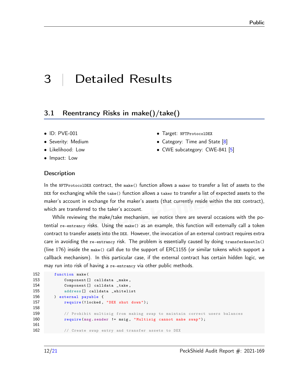# <span id="page-11-0"></span>3 | Detailed Results

## <span id="page-11-1"></span>3.1 Reentrancy Risks in make()/take()

- ID: PVE-001
- Severity: Medium
- Likelihood: Low
- Impact: Low

#### **Description**

- Target: NFTProtocolDEX
- Category: Time and State [\[8\]](#page-19-2)
- CWE subcategory: CWE-841 [\[5\]](#page-19-3)

In the NFTProtocolDEX contract, the make() function allows a maker to transfer a list of assets to the DEX for exchanging while the take() function allows a taker to transfer a list of expected assets to the maker's account in exchange for the maker's assets (that currently reside within the DEX contract), which are transferred to the taker's account.

While reviewing the make/take mechanism, we notice there are several occasions with the potential re-entrancy risks. Using the make() as an example, this function will externally call a token contract to transfer assets into the DEX. However, the invocation of an external contract requires extra care in avoiding the re-entrancy risk. The problem is essentially caused by doing transferAssetIn() (line 176) inside the make() call due to the support of ERC1155 (or similar tokens which support a callback mechanism). In this particular case, if the external contract has certain hidden logic, we may run into risk of having a re-entrancy via other public methods.

```
152 function make (
153 Component [] calldata _make ,
154 Component [] calldata _take ,
155 address [] calldata _whitelist
156 ) external payable {
157 require (!locked, "DEX shut down");
158
159 // Prohibit multisig from making swap to maintain correct users balances
160 require (msg. sender != msig, "Multisig cannot make swap");
161
162 // Create swap entry and transfer assets to DEX
```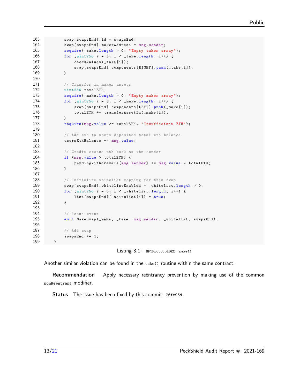```
163 swap [swapsEnd]. id = swapsEnd;
164 swap [swapsEnd].makerAddress = msg.sender;
165 require (_take . length > 0, "Empty taker array");
166 for (uint256 i = 0; i < _ take . length; i++) {
167 checkValues (_take [i]);
168 swap [swapsEnd].components [RIGHT].push (_take [i]);
169 }
170
171 // Transfer in maker assets
172 uint256 totalETH;
173 require (_make.length > 0, "Empty maker array");
174 for (uint256 i = 0; i < _make.length; i++) {
175 swap [ swap [ swaps End ]. components [LEFT]. push ( _make [i]);
176 totalETH += transferAssetIn(_make[i]);
177 }
178 require (msg. value >= totalETH, "Insufficient ETH");
179
180 // Add eth to users deposited total eth balance
181 usersEthBalance += msg.value;
182
183 // Credit excess eth back to the sender
184 if (msg. value > totalETH) {
185 pendingWithdrawals [msg. sender] += msg. value - totalETH;
186 }
187
188 // Initialize whitelist mapping for this swap
189 swap [ swapsEnd ]. whitelistEnabled = _whitelist. length > 0;
190 for (uint256 i = 0; i < _ whitelist.length; i++) {
191 list [ swaps End ] [ _ whitelist [i] ] = true;
192 }
193
194 // Issue event
195 emit MakeSwap (_make, _take, msg.sender, _whitelist, swapsEnd);
196
197 // Add swap
198 swapsEnd += 1;
199 }
```
Listing 3.1: NFTProtocolDEX: : make()

Another similar violation can be found in the take() routine within the same contract.

Recommendation Apply necessary reentrancy prevention by making use of the common nonReentrant modifier.

Status The issue has been fixed by this commit: [26fe96d.](https://github.com/nftprotocol/nft-dex-audit/commit/26fe96d)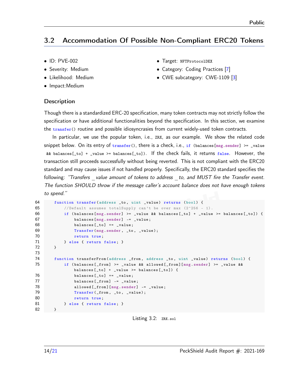# <span id="page-13-0"></span>3.2 Accommodation Of Possible Non-Compliant ERC20 Tokens

- ID: PVE-002
- Severity: Medium
- Likelihood: Medium
- Impact:Medium
- **Description**
- Target: NFTProtocolDEX
- Category: Coding Practices [\[7\]](#page-19-4)
- CWE subcategory: CWE-1109 [\[3\]](#page-19-5)

Though there is a standardized ERC-20 specification, many token contracts may not strictly follow the specification or have additional functionalities beyond the specification. In this section, we examine the transfer() routine and possible idiosyncrasies from current widely-used token contracts.

In particular, we use the popular token, i.e., ZRX, as our example. We show the related code snippet below. On its entry of  $transfer()$ , there is a check, i.e., if (balances[msg.sender] >= \_value && balances[\_to] + \_value >= balances[\_to]). If the check fails, it returns false. However, the transaction still proceeds successfully without being reverted. This is not compliant with the ERC20 standard and may cause issues if not handled properly. Specifically, the ERC20 standard specifies the following: "Transfers value amount of tokens to address to, and MUST fire the Transfer event. [The function SHOULD throw if the message caller's account balance does not have enough tokens](https://eips.ethereum.org/EIPS/eip-20) [to spend."](https://eips.ethereum.org/EIPS/eip-20)

```
64 function transfer ( address _to , uint _value ) returns ( bool ) {
65 // Default assumes totalSupply can 't be over max (2^256 - 1).
66 if (balances [msg. sender] >= _value && balances [_to] + _value >= balances [_to]) {
67 balances [msg . sender ] -= _value ;
68 balances [_to ] += _value ;
69 Transfer (msg .sender , _to , _value );
70 return true ;
71 } else { return false; }
72 }
73
74 function transferFrom (address _from, address _to, uint _value) returns (bool) {
75 if ( balances [ _from ] >= _value && allowed [ _from ][ msg . sender ] >= _value &&
              balances [-\text{to}] + \_\text{value} >= balances [-\text{to}]) {
76 balances [_to] += _value;
77 balances [_from] -= _value;
78 allowed [_from] [msg.sender] -= _value;
79 Transfer (_from, _to, _value);
80 return true;
81 } else { return false; }
82 }
```
#### Listing 3.2: ZRX.sol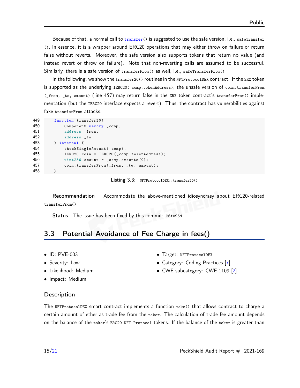Because of that, a normal call to transfer() is suggested to use the safe version, i.e., safeTransfer (), In essence, it is a wrapper around ERC20 operations that may either throw on failure or return false without reverts. Moreover, the safe version also supports tokens that return no value (and instead revert or throw on failure). Note that non-reverting calls are assumed to be successful. Similarly, there is a safe version of transferFrom() as well, i.e., safeTransferFrom()

In the following, we show the transfer20() routines in the NFTProtocolDEX contract. If the ZRX token is supported as the underlying IERC20(\_comp.tokenAddress), the unsafe version of coin.transferFrom (\_from, \_to, amount) (line 457) may return false in the ZRX token contract's transferFrom() implementation (but the IERC20 interface expects a revert)! Thus, the contract has vulnerabilities against fake transferFrom attacks.

| 449 | function transfer20(                       |
|-----|--------------------------------------------|
| 450 | Component memory _comp,                    |
| 451 | address _from,                             |
| 452 | address _to                                |
| 453 | ) internal {                               |
| 454 | checkSingleAmount (_comp);                 |
| 455 | IERC20 coin = IERC20(_comp.tokenAddress);  |
| 456 | $uint256$ amount = $_{comp. amounts}$ [0]; |
| 457 | coin.transferFrom(_from, _to, amount);     |
| 458 | ι                                          |

Listing 3.3: NFTProtocolDEX::transfer20()

Recommendation Accommodate the above-mentioned idiosyncrasy about ERC20-related transferFrom().

Status The issue has been fixed by this commit: [26fe96d.](https://github.com/nftprotocol/nft-dex-audit/commit/26fe96d)

# <span id="page-14-0"></span>3.3 Potential Avoidance of Fee Charge in fees()

- ID: PVE-003
- Severity: Low
- Likelihood: Medium
- Impact: Medium

#### • Target: NFTProtocolDEX • Category: Coding Practices [\[7\]](#page-19-4)

• CWE subcategory: CWE-1109 [\[2\]](#page-19-6)

#### **Description**

The NFTProtocolDEX smart contract implements a function take() that allows contract to charge a certain amount of ether as trade fee from the taker. The calculation of trade fee amount depends on the balance of the taker's ERC20 NFT Protocol tokens. If the balance of the taker is greater than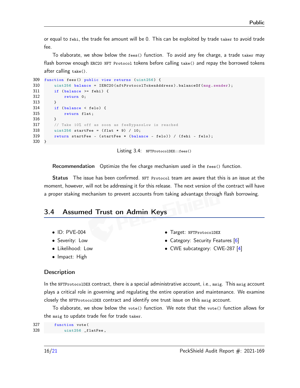or equal to fehi, the trade fee amount will be 0. This can be exploited by trade taker to avoid trade fee.

To elaborate, we show below the fees() function. To avoid any fee charge, a trade taker may flash borrow enough ERC20 NFT Protocol tokens before calling take() and repay the borrowed tokens after calling take().

```
309 function fees () public view returns ( uint256 ) {
310 uint256 balance = IERC20 (nftProtocolTokenAddress). balanceOf (msg.sender);
311 if (balance >= fehi) {
312 return 0;
313 }
314 if (balance < felo) {
315 return flat;
316 }
317 // Take 10% off as soon as feeBypassLow is reached
318 uint 256 startFee = (flat * 9) / 10;
319 return startFee - ( startFee * ( balance - felo )) / ( fehi - felo );
320 }
```
Listing 3.4: NFTProtocolDEX::fees()

Recommendation Optimize the fee charge mechanism used in the fees() function.

Status The issue has been confirmed. NFT Protocol team are aware that this is an issue at the moment, however, will not be addressing it for this release. The next version of the contract will have a proper staking mechanism to prevent accounts from taking advantage through flash borrowing.

#### <span id="page-15-0"></span>3.4 Assumed Trust on Admin Keys

- ID: PVE-004
- Severity: Low
- Likelihood: Low
- Impact: High
- Target: NFTProtocolDEX
- Category: Security Features [\[6\]](#page-19-7)
- CWE subcategory: CWE-287 [\[4\]](#page-19-8)

#### **Description**

In the NFTProtocolDEX contract, there is a special administrative account, i.e., msig. This msig account plays a critical role in governing and regulating the entire operation and maintenance. We examine closely the NFTProtocolDEX contract and identify one trust issue on this msig account.

To elaborate, we show below the vote() function. We note that the vote() function allows for the msig to update trade fee for trade taker.

```
327 function vote (
328 uint256 _flatFee,
```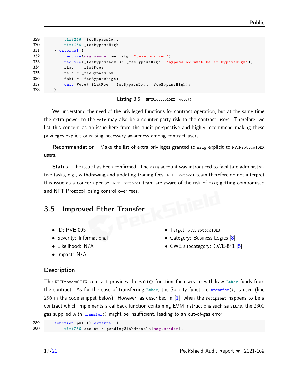```
329 uint256 _feeBypassLow ,
330 uint256 _feeBypassHigh
331 ) external {
332 require (msg. sender == msig, "Unauthorized");
333 require (_feeBypassLow <= _feeBypassHigh, "bypassLow must be <= bypassHigh");
334 flat = _flatFee;
335 felo = _feeBypassLow ;
336 fehi = _feeBypassHigh;
337 emit Vote (_flatFee, _feeBypassLow, _feeBypassHigh);
338 }
```
Listing 3.5: NFTProtocolDEX::vote()

We understand the need of the privileged functions for contract operation, but at the same time the extra power to the msig may also be a counter-party risk to the contract users. Therefore, we list this concern as an issue here from the audit perspective and highly recommend making these privileges explicit or raising necessary awareness among contract users.

Recommendation Make the list of extra privileges granted to msig explicit to NFTProtocolDEX users.

Status The issue has been confirmed. The msig account was introduced to facilitate administrative tasks, e.g., withdrawing and updating trading fees. NFT Protocol team therefore do not interpret this issue as a concern per se. NFT Protocol team are aware of the risk of msig getting compomised and NFT Protocol losing control over fees.

## <span id="page-16-0"></span>3.5 Improved Ether Transfer

- ID: PVE-005
- Severity: Informational
- Likelihood: N/A
- Impact: N/A
- Target: NFTProtocolDEX
- Category: Business Logics [\[8\]](#page-19-2)
- CWE subcategory: CWE-841 [\[5\]](#page-19-3)

#### **Description**

The NFTProtocolDEX contract provides the pull() function for users to withdraw Ether funds from the contract. As for the case of transferring  $E$ ther, the Solidity function, transfer(), is used (line 296 in the code snippet below). However, as described in  $[1]$ , when the recipient happens to be a contract which implements a callback function containing EVM instructions such as SLOAD, the 2300 gas supplied with transfer() might be insufficient, leading to an out-of-gas error.

```
289 function pull () external {
290 uint256 amount = pendingWithdrawals [msg.sender];
```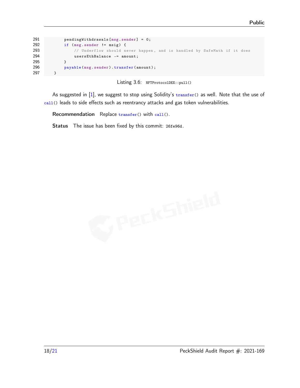```
291 pendingWithdrawals [ msg . sender ] = 0;
292 if (msg. sender != msig) {
293 // Underflow should never happen, and is handled by SafeMath if it does
294 usersEthBalance -= amount ;
295 }
296 payable (msg. sender). transfer (amount);
297 }
```
Listing 3.6: NFTProtocolDEX::pull()

As suggested in [\[1\]](#page-19-9), we suggest to stop using Solidity's transfer() as well. Note that the use of call() leads to side effects such as reentrancy attacks and gas token vulnerabilities.

Recommendation Replace transfer() with call().

Status The issue has been fixed by this commit: [26fe96d.](https://github.com/nftprotocol/nft-dex-audit/commit/26fe96d)

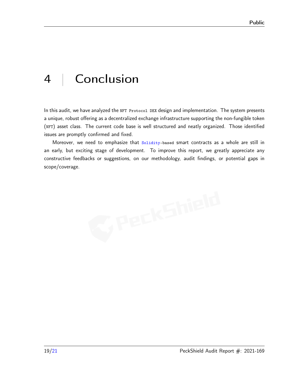# <span id="page-18-0"></span>4 | Conclusion

In this audit, we have analyzed the NFT Protocol DEX design and implementation. The system presents a unique, robust offering as a decentralized exchange infrastructure supporting the non-fungible token (NFT) asset class. The current code base is well structured and neatly organized. Those identified issues are promptly confirmed and fixed.

Moreover, we need to emphasize that Solidity-based smart contracts as a whole are still in an early, but exciting stage of development. To improve this report, we greatly appreciate any constructive feedbacks or suggestions, on our methodology, audit findings, or potential gaps in scope/coverage.

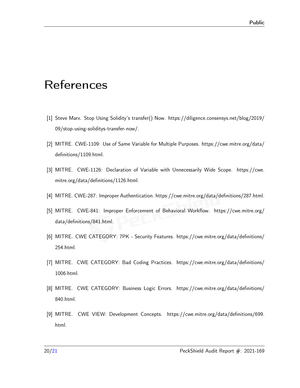# <span id="page-19-0"></span>References

- <span id="page-19-9"></span>[1] Steve Marx. Stop Using Solidity's transfer() Now. [https://diligence.consensys.net/blog/2019/](https://diligence.consensys.net/blog/2019/09/stop-using-soliditys-transfer-now/) [09/stop-using-soliditys-transfer-now/.](https://diligence.consensys.net/blog/2019/09/stop-using-soliditys-transfer-now/)
- <span id="page-19-6"></span>[2] MITRE. CWE-1109: Use of Same Variable for Multiple Purposes. [https://cwe.mitre.org/data/](https://cwe.mitre.org/data/definitions/1109.html) [definitions/1109.html.](https://cwe.mitre.org/data/definitions/1109.html)
- <span id="page-19-5"></span>[3] MITRE. CWE-1126: Declaration of Variable with Unnecessarily Wide Scope. [https://cwe.](https://cwe.mitre.org/data/definitions/1126.html) [mitre.org/data/definitions/1126.html.](https://cwe.mitre.org/data/definitions/1126.html)
- <span id="page-19-8"></span><span id="page-19-3"></span>[4] MITRE. CWE-287: Improper Authentication. [https://cwe.mitre.org/data/definitions/287.html.](https://cwe.mitre.org/data/definitions/287.html)
- [5] MITRE. CWE-841: Improper Enforcement of Behavioral Workflow. [https://cwe.mitre.org/](https://cwe.mitre.org/data/definitions/841.html) [data/definitions/841.html.](https://cwe.mitre.org/data/definitions/841.html)
- <span id="page-19-7"></span>[6] MITRE. CWE CATEGORY: 7PK - Security Features. [https://cwe.mitre.org/data/definitions/](https://cwe.mitre.org/data/definitions/254.html) [254.html.](https://cwe.mitre.org/data/definitions/254.html)
- <span id="page-19-4"></span>[7] MITRE. CWE CATEGORY: Bad Coding Practices. [https://cwe.mitre.org/data/definitions/](https://cwe.mitre.org/data/definitions/1006.html) [1006.html.](https://cwe.mitre.org/data/definitions/1006.html)
- <span id="page-19-2"></span>[8] MITRE. CWE CATEGORY: Business Logic Errors. [https://cwe.mitre.org/data/definitions/](https://cwe.mitre.org/data/definitions/840.html) [840.html.](https://cwe.mitre.org/data/definitions/840.html)
- <span id="page-19-1"></span>[9] MITRE. CWE VIEW: Development Concepts. [https://cwe.mitre.org/data/definitions/699.](https://cwe.mitre.org/data/definitions/699.html) [html.](https://cwe.mitre.org/data/definitions/699.html)